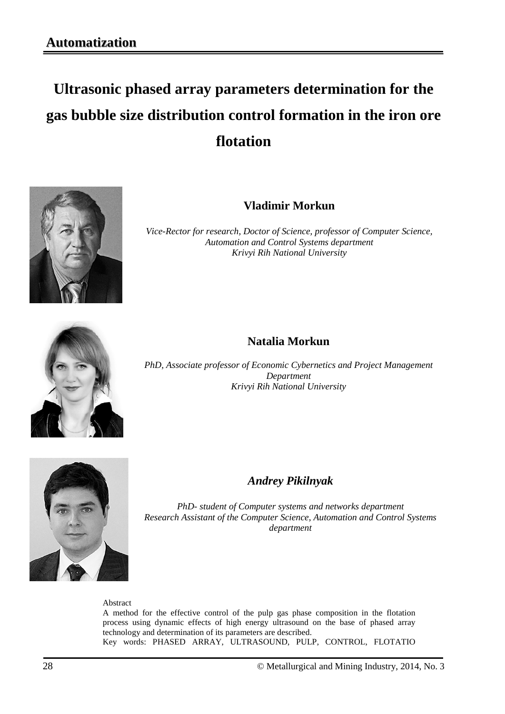# **Ultrasonic phased array parameters determination for the gas bubble size distribution control formation in the iron ore flotation**



**Vladimir Morkun**

*Vice-Rector for research, Doctor of Science, professor of Computer Science, Automation and Control Systems department Krivyi Rih National University*

## **Natalia Morkun**

*PhD, Associate professor of Economic Cybernetics and Project Management Department Krivyi Rih National University*



*Andrey Pikilnyak*

*PhD- student of Computer systems and networks department Research Assistant of the Computer Science, Automation and Control Systems department*

#### Abstract

A method for the effective control of the pulp gas phase composition in the flotation process using dynamic effects of high energy ultrasound on the base of phased array technology and determination of its parameters are described. Key words: PHASED ARRAY, ULTRASOUND, PULP, CONTROL, FLOTATIO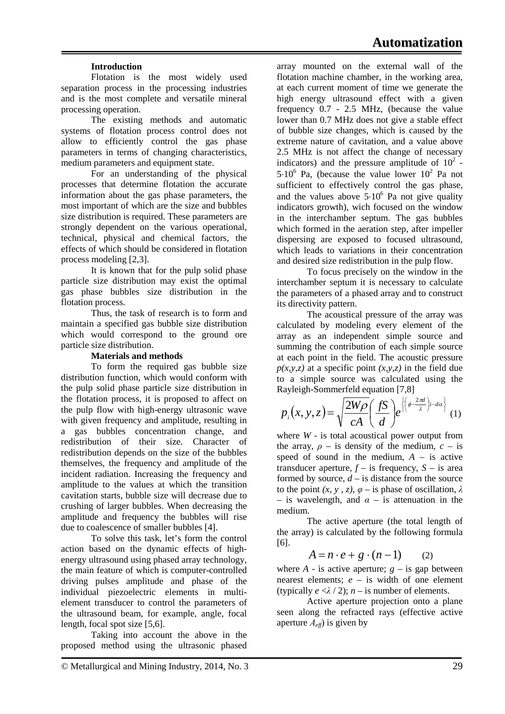## **Introduction**

Flotation is the most widely used separation process in the processing industries and is the most complete and versatile mineral processing operation.

The existing methods and automatic systems of flotation process control does not allow to efficiently control the gas phase parameters in terms of changing characteristics, medium parameters and equipment state.

For an understanding of the physical processes that determine flotation the accurate information about the gas phase parameters, the most important of which are the size and bubbles size distribution is required. These parameters are strongly dependent on the various operational, technical, physical and chemical factors, the effects of which should be considered in flotation process modeling [2,3].

It is known that for the pulp solid phase particle size distribution may exist the optimal gas phase bubbles size distribution in the flotation process.

Thus, the task of research is to form and maintain a specified gas bubble size distribution which would correspond to the ground ore particle size distribution.

#### **Materials and methods**

To form the required gas bubble size distribution function, which would conform with the pulp solid phase particle size distribution in the flotation process, it is proposed to affect on the pulp flow with high-energy ultrasonic wave with given frequency and amplitude, resulting in a gas bubbles concentration change, and redistribution of their size. Character of redistribution depends on the size of the bubbles themselves, the frequency and amplitude of the incident radiation. Increasing the frequency and amplitude to the values at which the transition cavitation starts, bubble size will decrease due to crushing of larger bubbles. When decreasing the amplitude and frequency the bubbles will rise due to coalescence of smaller bubbles [4].

To solve this task, let's form the control action based on the dynamic effects of highenergy ultrasound using phased array technology, the main feature of which is computer-controlled driving pulses amplitude and phase of the individual piezoelectric elements in multielement transducer to control the parameters of the ultrasound beam, for example, angle, focal length, focal spot size [5,6].

Taking into account the above in the proposed method using the ultrasonic phased array mounted on the external wall of the flotation machine chamber, in the working area, at each current moment of time we generate the high energy ultrasound effect with a given frequency 0.7 - 2.5 MHz, (because the value lower than 0.7 MHz does not give a stable effect of bubble size changes, which is caused by the extreme nature of cavitation, and a value above 2.5 MHz is not affect the change of necessary indicators) and the pressure amplitude of  $10^2$  - $5.10^6$  Pa, (because the value lower  $10^2$  Pa not sufficient to effectively control the gas phase, and the values above  $5·10<sup>6</sup>$  Pa not give quality indicators growth), wich focused on the window in the interchamber septum. The gas bubbles which formed in the aeration step, after impeller dispersing are exposed to focused ultrasound, which leads to variations in their concentration and desired size redistribution in the pulp flow.

To focus precisely on the window in the interchamber septum it is necessary to calculate the parameters of a phased array and to construct its directivity pattern.

The acoustical pressure of the array was calculated by modeling every element of the array as an independent simple source and summing the contribution of each simple source at each point in the field. The acoustic pressure  $p(x, y, z)$  at a specific point  $(x, y, z)$  in the field due to a simple source was calculated using the Rayleigh-Sommerfeld equation [7,8]

$$
p_i(x, y, z) = \sqrt{\frac{2W\rho}{cA}} \left(\frac{fS}{d}\right) e^{\left\{\left(\phi - \frac{2\pi d}{\lambda}\right) i - d\alpha\right\}} (1)
$$

where *W* - is total acoustical power output from the array,  $\rho$  – is density of the medium,  $c$  – is speed of sound in the medium,  $A -$  is active transducer aperture,  $f -$  is frequency,  $S -$  is area formed by source,  $d -$  is distance from the source to the point  $(x, y, z)$ ,  $\varphi$  – is phase of oscillation,  $\lambda$ – is wavelength, and  $\alpha$  – is attenuation in the medium.

The active aperture (the total length of the array) is calculated by the following formula [6].

$$
A = n \cdot e + g \cdot (n-1) \qquad (2)
$$

where  $A$  - is active aperture;  $g -$  is gap between nearest elements; *e* – is width of one element (typically  $e < \lambda / 2$ );  $n -$  is number of elements.

Active aperture projection onto a plane seen along the refracted rays (effective active aperture  $A_{\text{eff}}$ ) is given by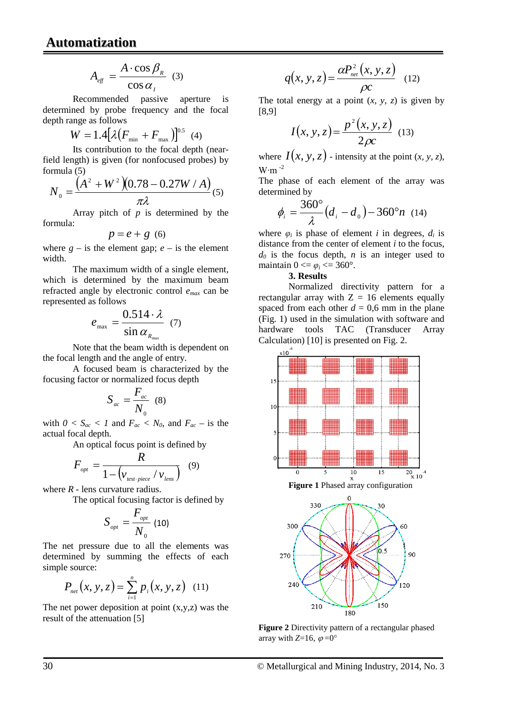$$
A_{\text{eff}} = \frac{A \cdot \cos \beta_{\text{R}}}{\cos \alpha_{\text{I}}} \tag{3}
$$

Recommended passive aperture is determined by probe frequency and the focal depth range as follows

$$
W = 1.4 \big[ \lambda \big( F_{\min} + F_{\max} \big) \big]^{0.5} \tag{4}
$$

Its contribution to the focal depth (nearfield length) is given (for nonfocused probes) by formula (5)

$$
N_0 = \frac{\left(A^2 + W^2\right)\left(0.78 - 0.27W/A\right)}{\pi\lambda}(5)
$$

Array pitch of *p* is determined by the formula:

$$
p = e + g \ (6)
$$

where  $g -$  is the element gap;  $e -$  is the element width.

The maximum width of a single element, which is determined by the maximum beam refracted angle by electronic control *emax* can be represented as follows

$$
e_{\text{max}} = \frac{0.514 \cdot \lambda}{\sin \alpha_{R_{\text{max}}}} \quad (7)
$$

Note that the beam width is dependent on the focal length and the angle of entry.

A focused beam is characterized by the focusing factor or normalized focus depth

$$
S_{ac} = \frac{F_{ac}}{N_0} \quad (8)
$$

with  $0 < S_{ac} < 1$  and  $F_{ac} < N_0$ , and  $F_{ac}$  – is the actual focal depth.

An optical focus point is defined by

$$
F_{_{opt}} = \frac{R}{1 - \left(v_{_{test\cdot piece}} / v_{_{lens}}\right)} \quad (9)
$$

where *R -* lens curvature radius.

The optical focusing factor is defined by

$$
S_{_{opt}}=\frac{F_{_{opt}}}{N_{_0}}\ (10)
$$

The net pressure due to all the elements was determined by summing the effects of each simple source:

$$
P_{net}(x, y, z) = \sum_{i=1}^{n} p_i(x, y, z) \quad (11)
$$

The net power deposition at point  $(x,y,z)$  was the result of the attenuation [5]

$$
q(x, y, z) = \frac{\alpha P_{net}^2(x, y, z)}{\rho c}
$$
 (12)

The total energy at a point  $(x, y, z)$  is given by [8,9]

$$
I(x, y, z) = \frac{p^{2}(x, y, z)}{2\rho c}
$$
 (13)

where  $I(x, y, z)$  - intensity at the point  $(x, y, z)$ , W⋅m  $^{-2}$ 

The phase of each element of the array was determined by

$$
\phi_i = \frac{360^{\circ}}{\lambda} (d_i - d_{\rm o}) - 360^{\circ} n \quad (14)
$$

where  $\varphi_i$  is phase of element *i* in degrees,  $d_i$  is distance from the center of element *i* to the focus,  $d_0$  is the focus depth, *n* is an integer used to maintain  $0 \le \varphi_i \le 360^\circ$ .

#### **3. Results**

Normalized directivity pattern for a rectangular array with  $Z = 16$  elements equally spaced from each other  $d = 0.6$  mm in the plane (Fig. 1) used in the simulation with software and hardware tools TAC (Transducer Array Calculation) [10] is presented on Fig. 2.







**Figure 2** Directivity pattern of a rectangular phased array with *Z*=16,  $\varphi = 0^{\circ}$